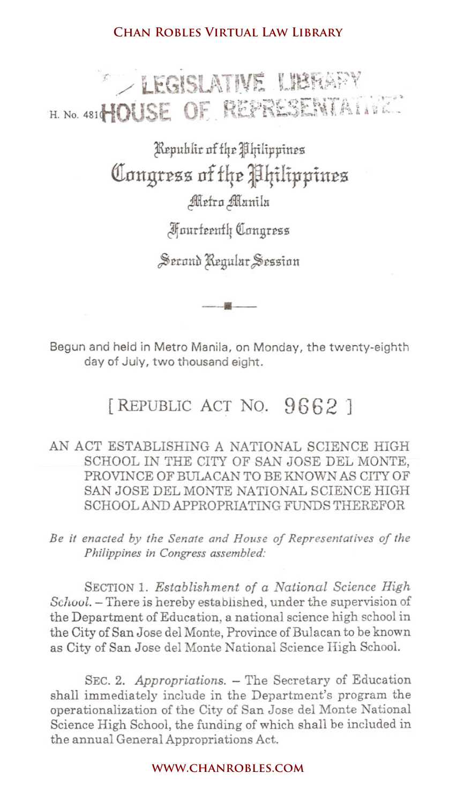Kepuhlir of the Philippines **QIougrrzz of f4e J4ilippiu:ez** Metro Manila

JlfnurfEtuflr QInttgrEss

Second Regular Session

•

Begun and held in Metro Manila, on Monday, the twenty-eighth day of July, two thousand eight.

# [REPUBLIC ACT NO. **9662 ]**

### AN ACT ESTABLISHING A NATIONAL SCIENCE HIGH SCHOOL IN THE CITY OF SAN JOSE DEL MONTE, PROVINCE OF BULACAN TO BE KNOWN AS CITY OF SAN JOSE DEL MONTE NATIONAL SCIENCE HIGH SCHOOL. AND APPROPRIATING FUNDS THEREFOR

*Be it enacted by the Senate and House oj Representatives oj the Philippines in Congress assembled:*

SECTION1. *Establishment of a National Science High School.* - There is hereby established, under the supervision of the Department of Education, a national science high school in the City of San Jose del Monte, Province of Bulacan to be known as City of San Jose del Monte National Science High School. **CHAN ROBLES VIRTUAL LAW LIBRARY**<br> **CHANNIVE LIBRARY**<br> **COUSE OF REPRESENT/**<br> **Republic of the Alpilippines<br>
Contigress of the Alpilippines<br>
Alerto Manila<br>
Apartemently Congress<br>
Secant Regular Session<br>
———————————————————** 

SEC. 2. *Appropriations.* - The Secretary of Education shall immediately include in the Department's program the operationalization of the City of San Jose del Monte National Science High School, the funding of which shall be included in the annual General Appropriations Act.